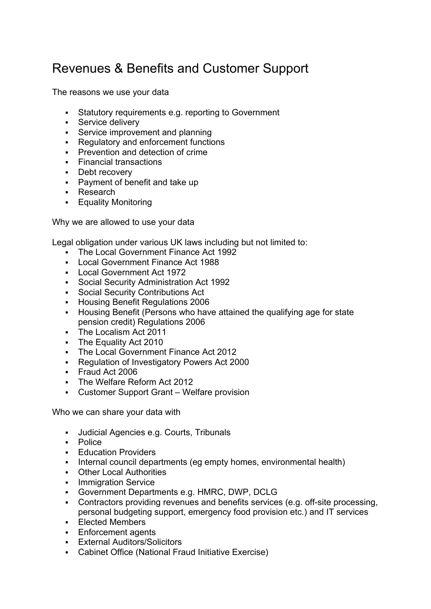## Revenues & Benefits and Customer Support

The reasons we use your data

- **Statutory requirements e.g. reporting to Government**
- **Service delivery**
- **Service improvement and planning**
- **Requilatory and enforcement functions**
- **Prevention and detection of crime**
- Financial transactions
- **Debt recovery**
- **Payment of benefit and take up**
- **Research**
- **Equality Monitoring**

Why we are allowed to use your data

Legal obligation under various UK laws including but not limited to:

- The Local Government Finance Act 1992
- Local Government Finance Act 1988
- Local Government Act 1972
- Social Security Administration Act 1992
- **Social Security Contributions Act**
- **Housing Benefit Regulations 2006**
- Housing Benefit (Persons who have attained the qualifying age for state pension credit) Regulations 2006
- The Localism Act 2011
- **The Equality Act 2010**
- **The Local Government Finance Act 2012**
- Regulation of Investigatory Powers Act 2000
- Fraud Act 2006
- The Welfare Reform Act 2012
- Customer Support Grant Welfare provision

Who we can share your data with

- Judicial Agencies e.g. Courts, Tribunals
- **-** Police
- **Education Providers**
- Internal council departments (eg empty homes, environmental health)
- Other Local Authorities
- **Immigration Service**
- Government Departments e.g. HMRC, DWP, DCLG
- Contractors providing revenues and benefits services (e.g. off-site processing, personal budgeting support, emergency food provision etc.) and IT services
- **Elected Members**
- **Enforcement agents**
- **External Auditors/Solicitors**
- Cabinet Office (National Fraud Initiative Exercise)